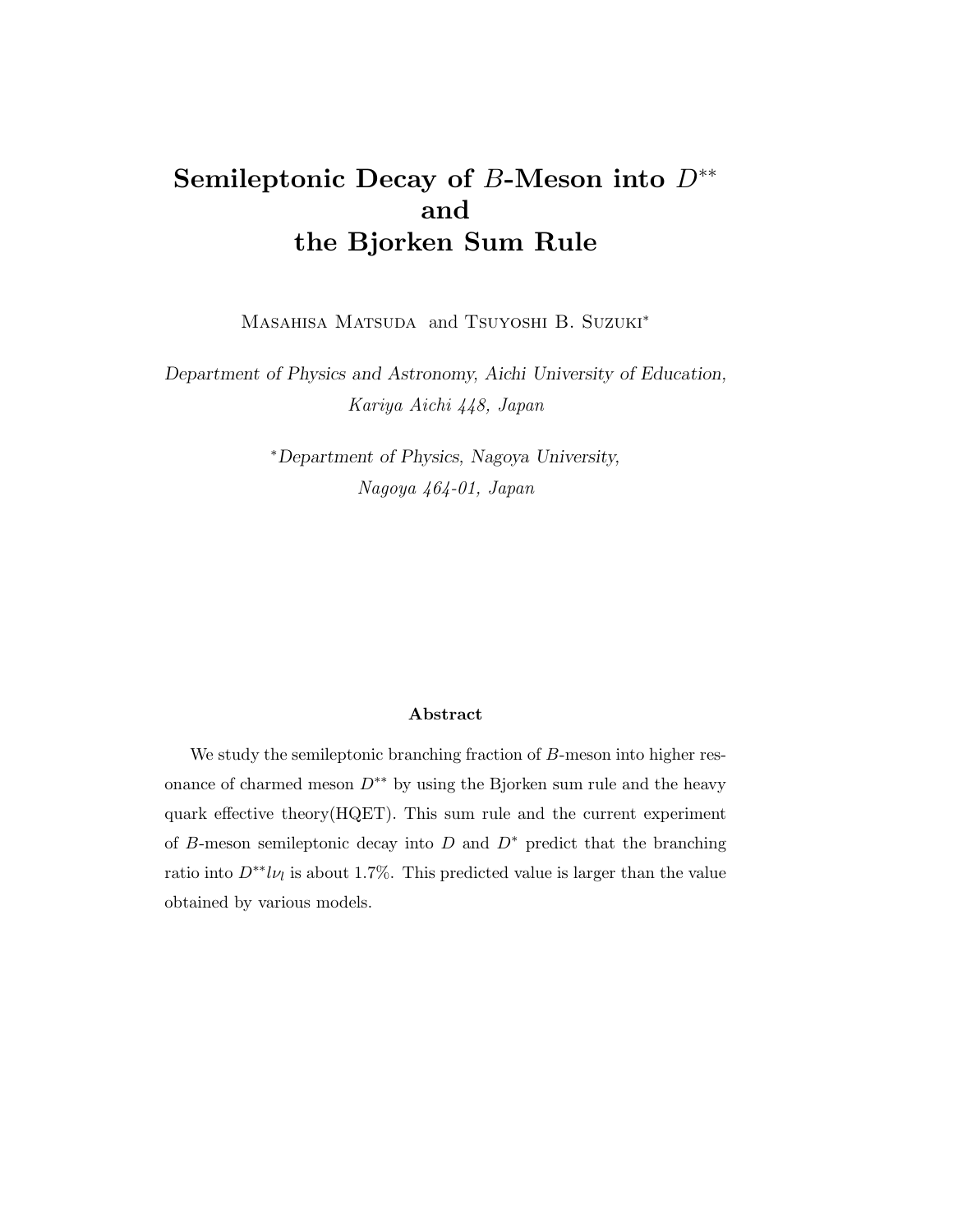## Semileptonic Decay of B-Meson into  $D^{**}$ and the Bjorken Sum Rule

MASAHISA MATSUDA and TSUYOSHI B. SUZUKI<sup>\*</sup>

Department of Physics and Astronomy, Aichi University of Education, Kariya Aichi 448, Japan

> <sup>∗</sup>Department of Physics, Nagoya University, Nagoya 464-01, Japan

## Abstract

We study the semileptonic branching fraction of B-meson into higher resonance of charmed meson  $D^{**}$  by using the Bjorken sum rule and the heavy quark effective theory(HQET). This sum rule and the current experiment of B-meson semileptonic decay into  $D$  and  $D^*$  predict that the branching ratio into  $D^{**}l\nu_l$  is about 1.7%. This predicted value is larger than the value obtained by various models.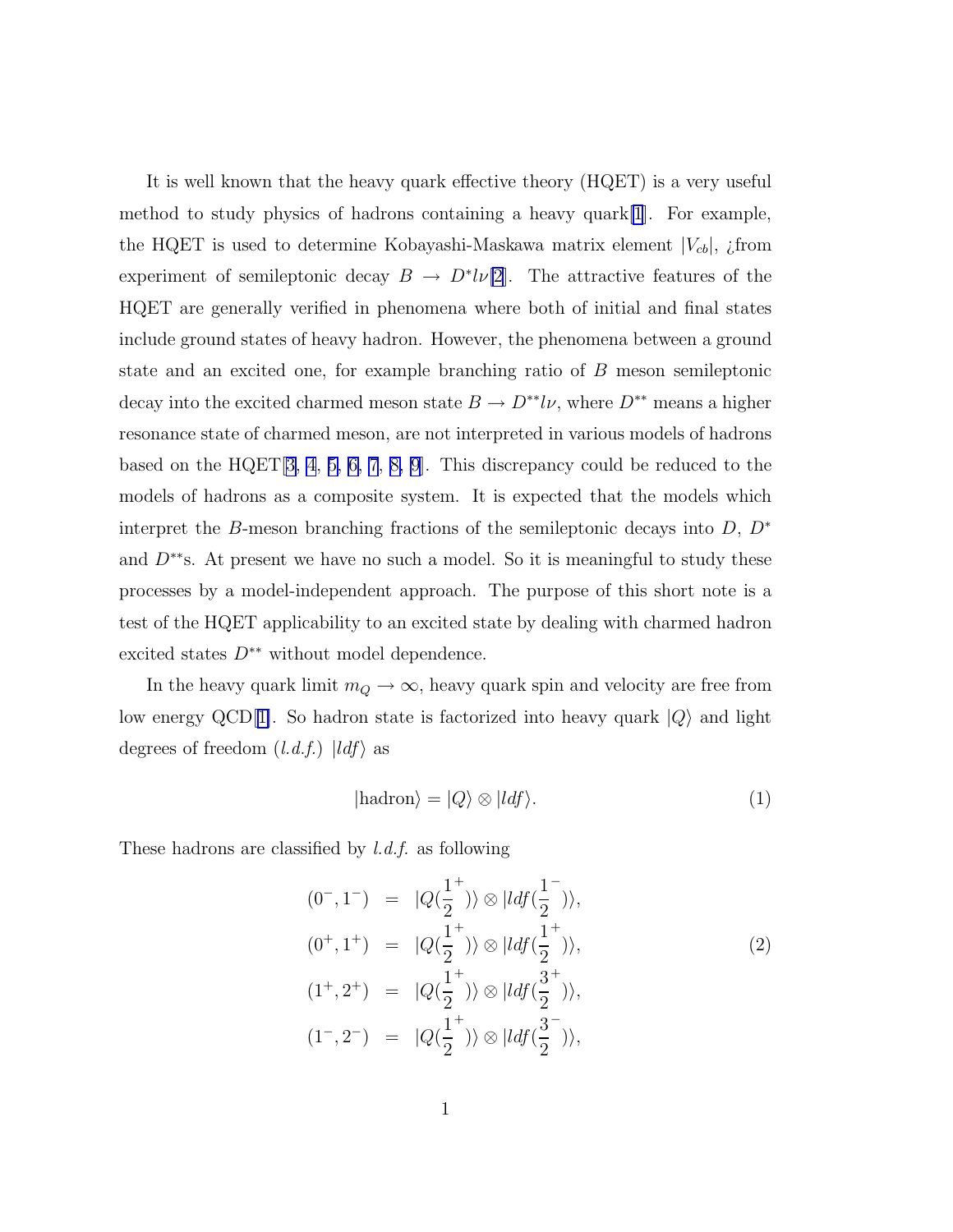It is well known that the heavy quark effective theory (HQET) is a very useful method to study physics of hadrons containing a heavy quark  $[1]$  $[1]$ . For example, the HQET is used to determine Kobayashi-Maskawa matrix element  $|V_{cb}|$ , *i*from experiment of semileptonic decay  $B \to D^* l \nu[2]$  $B \to D^* l \nu[2]$  $B \to D^* l \nu[2]$ . The attractive features of the HQET are generally verified in phenomena where both of initial and final states include ground states of heavy hadron. However, the phenomena between a ground state and an excited one, for example branching ratio of B meson semileptonic decay into the excited charmed meson state  $B \to D^{**}l\nu$ , where  $D^{**}$  means a higher resonance state of charmed meson, are not interpreted in various models of hadrons based on the HQET[[3, 4](#page-8-0), [5, 6, 7](#page-8-0), [8, 9\]](#page-8-0). This discrepancy could be reduced to the models of hadrons as a composite system. It is expected that the models which interpret the B-meson branching fractions of the semileptonic decays into  $D, D^*$ and  $D^{**}$ s. At present we have no such a model. So it is meaningful to study these processes by a model-independent approach. The purpose of this short note is a test of the HQET applicability to an excited state by dealing with charmed hadron excited states  $D^{**}$  without model dependence.

In the heavy quark limit  $m_Q \to \infty$ , heavy quark spin and velocity are free from low energy QCD[[1\]](#page-8-0). So hadron state is factorized into heavy quark  $|Q\rangle$  and light degrees of freedom  $(l.d.f.) |ldf\rangle$  as

$$
|\text{hadron}\rangle = |Q\rangle \otimes |ldf\rangle. \tag{1}
$$

These hadrons are classified by l.d.f. as following

$$
(0^-, 1^-) = |Q(\frac{1}{2}^+) \rangle \otimes |ldf(\frac{1}{2}^-) \rangle,
$$
  
\n
$$
(0^+, 1^+) = |Q(\frac{1}{2}^+) \rangle \otimes |ldf(\frac{1}{2}^+) \rangle,
$$
  
\n
$$
(1^+, 2^+) = |Q(\frac{1}{2}^+) \rangle \otimes |ldf(\frac{3}{2}^+) \rangle,
$$
  
\n
$$
(1^-, 2^-) = |Q(\frac{1}{2}^+) \rangle \otimes |ldf(\frac{3}{2}^-) \rangle,
$$
  
\n(1^-, 2^-) = |Q(\frac{1}{2}^+) \rangle \otimes |ldf(\frac{3}{2}^-) \rangle,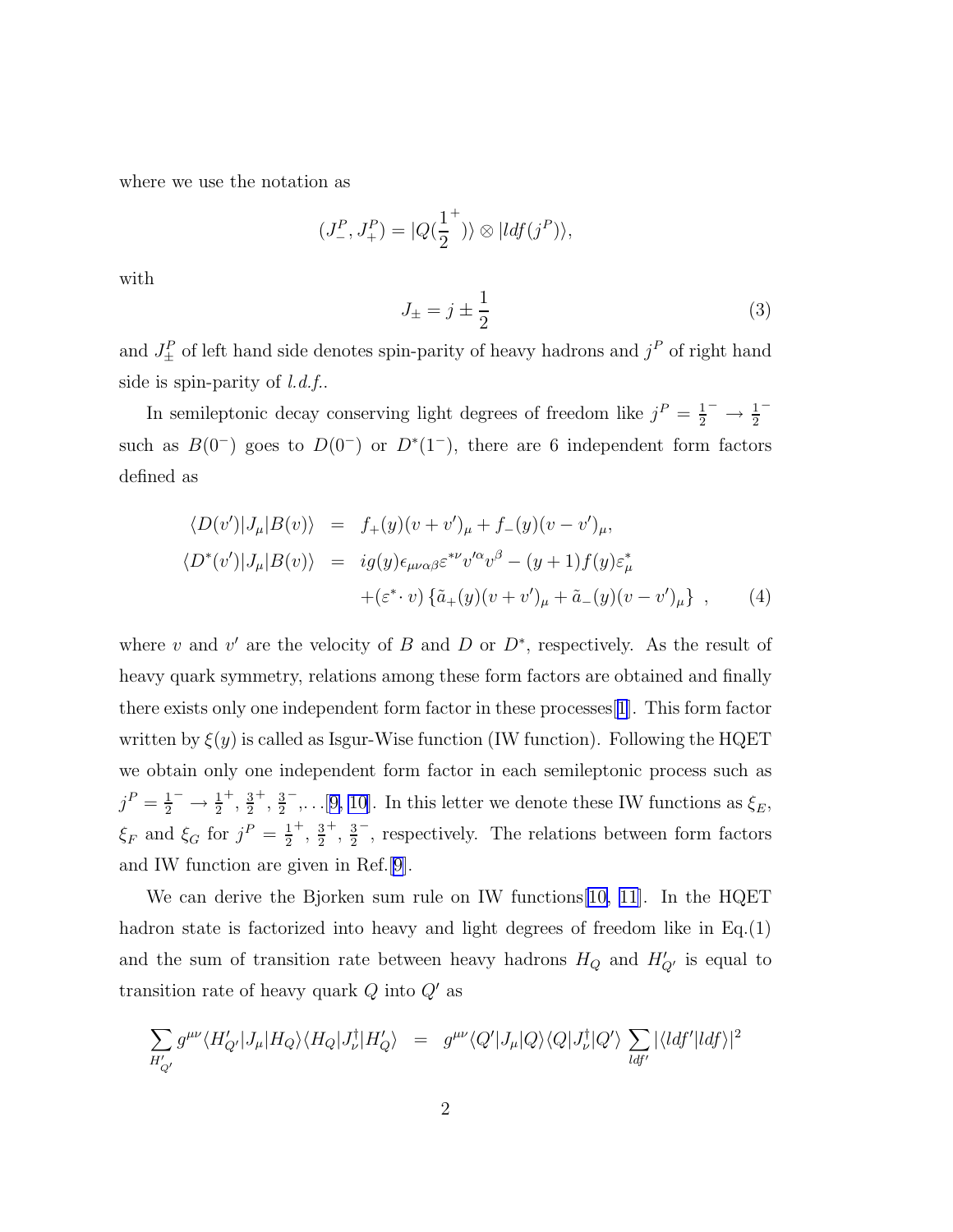where we use the notation as

$$
(J^P_-, J^P_+) = |Q(\frac{1}{2}^+)\rangle \otimes |ldf(j^P)\rangle,
$$

with

$$
J_{\pm} = j \pm \frac{1}{2} \tag{3}
$$

and  $J_{\pm}^{P}$  of left hand side denotes spin-parity of heavy hadrons and  $j^{P}$  of right hand side is spin-parity of  $l.d.f$ .

In semileptonic decay conserving light degrees of freedom like  $j^P = \frac{1}{2}$  $\frac{1}{2}^{-} \to \frac{1}{2}$ − such as  $B(0^-)$  goes to  $D(0^-)$  or  $D^*(1^-)$ , there are 6 independent form factors defined as

$$
\langle D(v')|J_{\mu}|B(v)\rangle = f_{+}(y)(v+v')_{\mu} + f_{-}(y)(v-v')_{\mu},
$$
  

$$
\langle D^{*}(v')|J_{\mu}|B(v)\rangle = ig(y)\epsilon_{\mu\nu\alpha\beta}\epsilon^{*\nu}v'^{\alpha}v^{\beta} - (y+1)f(y)\epsilon^{*}_{\mu}
$$
  

$$
+(\epsilon^{*}\cdot v)\{\tilde{a}_{+}(y)(v+v')_{\mu} + \tilde{a}_{-}(y)(v-v')_{\mu}\}, \qquad (4)
$$

where v and v' are the velocity of B and D or  $D^*$ , respectively. As the result of heavy quark symmetry, relations among these form factors are obtained and finally there exists only one independent form factor in these processes[[1\]](#page-8-0). This form factor written by  $\xi(y)$  is called as Isgur-Wise function (IW function). Following the HQET we obtain only one independent form factor in each semileptonic process such as  $j^P=\frac{1}{2}$  $\frac{1}{2}^{-} \to \frac{1}{2}$  $^+$ ,  $\frac{3}{2}$ 2  $^+$ ,  $\frac{3}{2}$ 2  $^{-}$ ,...[[9, 10\]](#page-8-0). In this letter we denote these IW functions as  $\xi_{E}$ ,  $\xi_F$  and  $\xi_G$  for  $j^P = \frac{1}{2}$ 2  $^+$ ,  $\frac{3}{2}$ 2  $^+$ ,  $\frac{3}{2}$ 2 − , respectively. The relations between form factors and IW function are given in Ref.[[9\]](#page-8-0).

We can derive the Bjorken sum rule on IW functions[\[10,](#page-8-0) [11\]](#page-9-0). In the HQET hadron state is factorized into heavy and light degrees of freedom like in Eq.(1) and the sum of transition rate between heavy hadrons  $H_Q$  and  $H'_{Q'}$  is equal to transition rate of heavy quark  $Q$  into  $Q'$  as

$$
\sum_{H'_{Q'}} g^{\mu\nu} \langle H'_{Q'} | J_{\mu} | H_Q \rangle \langle H_Q | J_{\nu}^{\dagger} | H'_{Q} \rangle = g^{\mu\nu} \langle Q' | J_{\mu} | Q \rangle \langle Q | J_{\nu}^{\dagger} | Q' \rangle \sum_{ldf'} |\langle ldf' | ldf \rangle|^{2}
$$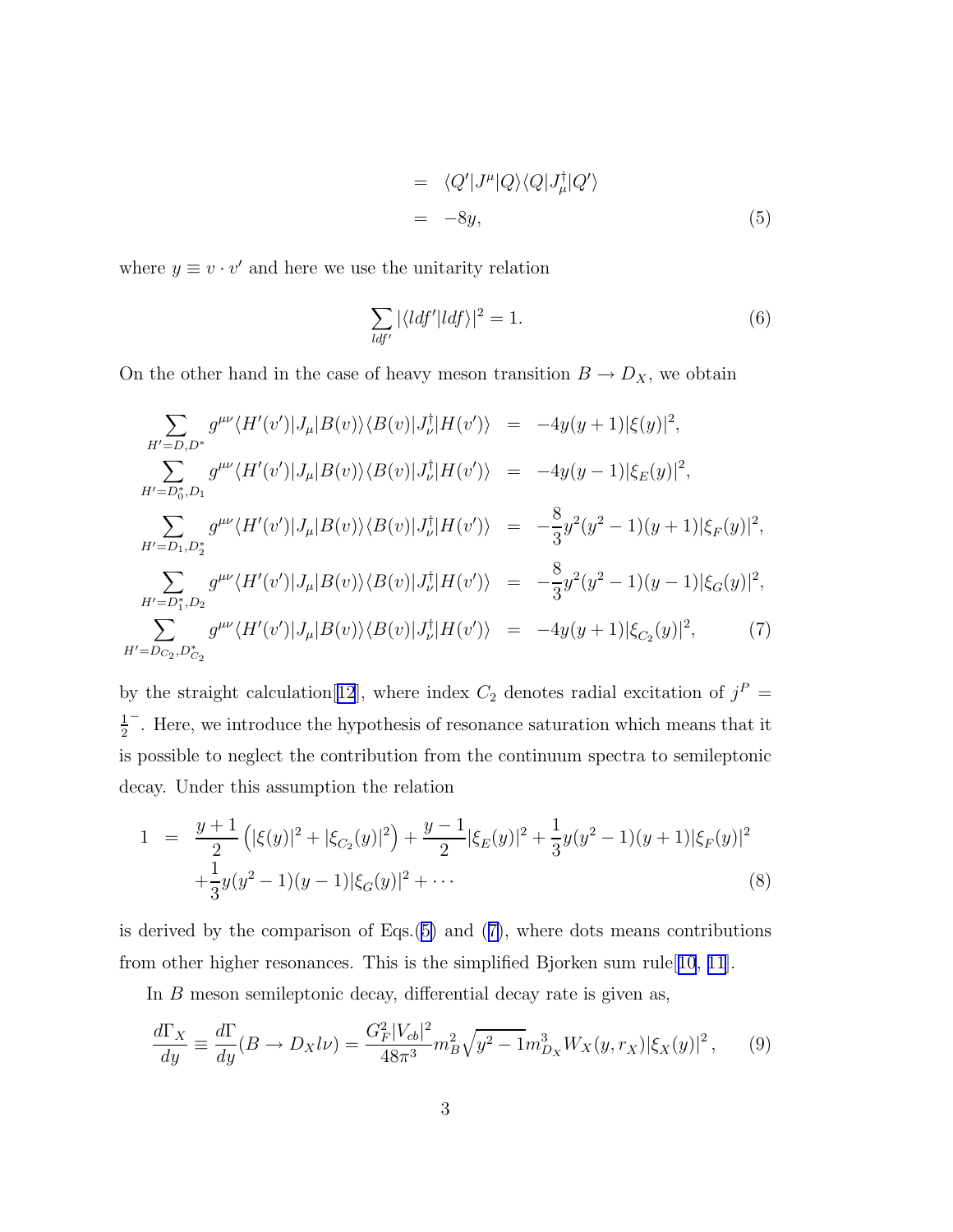$$
= \langle Q'|J^{\mu}|Q\rangle\langle Q|J^{\dagger}_{\mu}|Q'\rangle
$$
  

$$
= -8y,
$$
 (5)

<span id="page-3-0"></span>where  $y \equiv v \cdot v'$  and here we use the unitarity relation

$$
\sum_{ldf'} |\langle ldf'| ldf \rangle|^2 = 1. \tag{6}
$$

On the other hand in the case of heavy meson transition  $B \to D_X$ , we obtain

$$
\sum_{H'=D,D^*} g^{\mu\nu} \langle H'(v')|J_{\mu}|B(v)\rangle \langle B(v)|J_{\nu}^{\dagger}|H(v')\rangle = -4y(y+1)|\xi(y)|^2,
$$
  
\n
$$
\sum_{H'=D_0^*,D_1} g^{\mu\nu} \langle H'(v')|J_{\mu}|B(v)\rangle \langle B(v)|J_{\nu}^{\dagger}|H(v')\rangle = -4y(y-1)|\xi_E(y)|^2,
$$
  
\n
$$
\sum_{H'=D_1,D_2^*} g^{\mu\nu} \langle H'(v')|J_{\mu}|B(v)\rangle \langle B(v)|J_{\nu}^{\dagger}|H(v')\rangle = -\frac{8}{3}y^2(y^2-1)(y+1)|\xi_F(y)|^2,
$$
  
\n
$$
\sum_{H'=D_1^*,D_2} g^{\mu\nu} \langle H'(v')|J_{\mu}|B(v)\rangle \langle B(v)|J_{\nu}^{\dagger}|H(v')\rangle = -\frac{8}{3}y^2(y^2-1)(y-1)|\xi_G(y)|^2,
$$
  
\n
$$
\sum_{H'=D_0^*,D_{C_2}^*} g^{\mu\nu} \langle H'(v')|J_{\mu}|B(v)\rangle \langle B(v)|J_{\nu}^{\dagger}|H(v')\rangle = -4y(y+1)|\xi_{C_2}(y)|^2,
$$
  
\n(7)

by the straight calculation [[12](#page-9-0)], where index  $C_2$  denotes radial excitation of  $j^P =$ 1 2 − . Here, we introduce the hypothesis of resonance saturation which means that it is possible to neglect the contribution from the continuum spectra to semileptonic decay. Under this assumption the relation

$$
1 = \frac{y+1}{2} \left( |\xi(y)|^2 + |\xi_{C_2}(y)|^2 \right) + \frac{y-1}{2} |\xi_E(y)|^2 + \frac{1}{3} y (y^2 - 1)(y+1) |\xi_F(y)|^2
$$
  
 
$$
+ \frac{1}{3} y (y^2 - 1)(y-1) |\xi_G(y)|^2 + \cdots
$$
 (8)

is derived by the comparison of Eqs. $(5)$  and  $(7)$ , where dots means contributions from other higher resonances. This is the simplified Bjorken sum rule[[10](#page-8-0), [11](#page-9-0)].

In  $B$  meson semileptonic decay, differential decay rate is given as,

$$
\frac{d\Gamma_X}{dy} \equiv \frac{d\Gamma}{dy}(B \to D_X l\nu) = \frac{G_F^2 |V_{cb}|^2}{48\pi^3} m_B^2 \sqrt{y^2 - 1} m_{D_X}^3 W_X(y, r_X) |\xi_X(y)|^2, \tag{9}
$$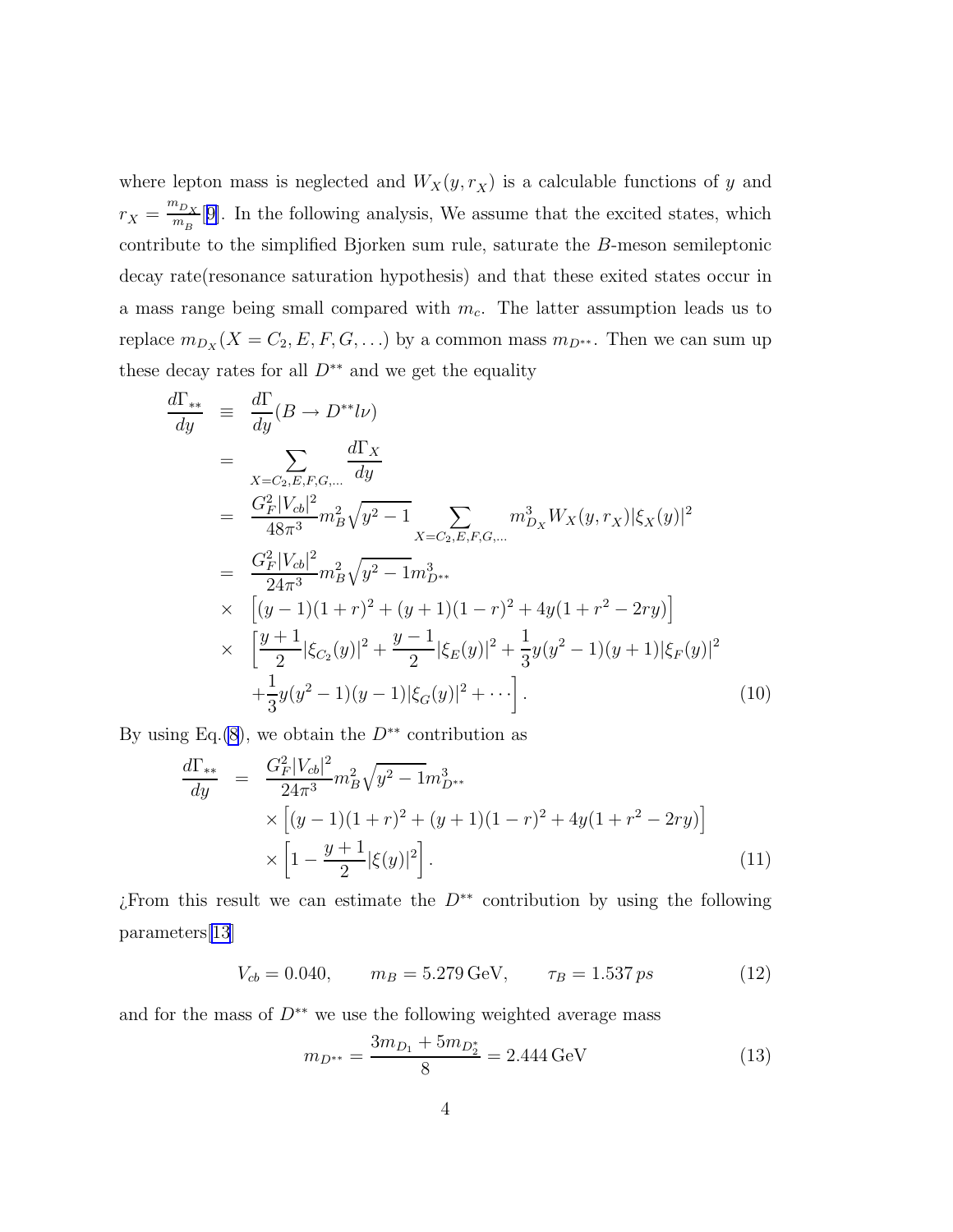where lepton mass is neglected and  $W_X(y, r_X)$  is a calculable functions of y and  $r_X = \frac{m_{D_X}}{m_B}$  $\frac{m_{D_X}}{m_B}$ [[9\]](#page-8-0). In the following analysis, We assume that the excited states, which contribute to the simplified Bjorken sum rule, saturate the B-meson semileptonic decay rate(resonance saturation hypothesis) and that these exited states occur in a mass range being small compared with  $m_c$ . The latter assumption leads us to replace  $m_{D_X}(X = C_2, E, F, G, \ldots)$  by a common mass  $m_{D^{**}}$ . Then we can sum up these decay rates for all  $D^{**}$  and we get the equality

$$
\frac{d\Gamma_{**}}{dy} \equiv \frac{d\Gamma}{dy}(B \to D^{**}l\nu) \n= \sum_{X=C_2,E,F,G,...} \frac{d\Gamma_X}{dy} \n= \frac{G_F^2|V_{cb}|^2}{48\pi^3} m_B^2 \sqrt{y^2 - 1} \sum_{X=C_2,E,F,G,...} m_{D_X}^3 W_X(y,r_X) |\xi_X(y)|^2 \n= \frac{G_F^2|V_{cb}|^2}{24\pi^3} m_B^2 \sqrt{y^2 - 1} m_{D^{**}}^3 \n\times \left[ (y-1)(1+r)^2 + (y+1)(1-r)^2 + 4y(1+r^2 - 2ry) \right] \n\times \left[ \frac{y+1}{2} |\xi_{C_2}(y)|^2 + \frac{y-1}{2} |\xi_E(y)|^2 + \frac{1}{3} y(y^2 - 1)(y+1) |\xi_F(y)|^2 \n+ \frac{1}{3} y(y^2 - 1)(y-1) |\xi_G(y)|^2 + \cdots \right].
$$
\n(10)

By using Eq.[\(8](#page-3-0)), we obtain the  $D^{**}$  contribution as

$$
\frac{d\Gamma_{**}}{dy} = \frac{G_F^2 |V_{cb}|^2}{24\pi^3} m_B^2 \sqrt{y^2 - 1} m_{D^{**}}^3
$$
  
 
$$
\times \left[ (y - 1)(1 + r)^2 + (y + 1)(1 - r)^2 + 4y(1 + r^2 - 2ry) \right]
$$
  
 
$$
\times \left[ 1 - \frac{y + 1}{2} |\xi(y)|^2 \right].
$$
 (11)

¿From this result we can estimate the D∗∗ contribution by using the following parameters[\[13](#page-9-0)]

$$
V_{cb} = 0.040, \qquad m_B = 5.279 \,\text{GeV}, \qquad \tau_B = 1.537 \,\text{ps} \tag{12}
$$

and for the mass of  $D^{**}$  we use the following weighted average mass

$$
m_{D^{**}} = \frac{3m_{D_1} + 5m_{D_2^*}}{8} = 2.444 \,\text{GeV} \tag{13}
$$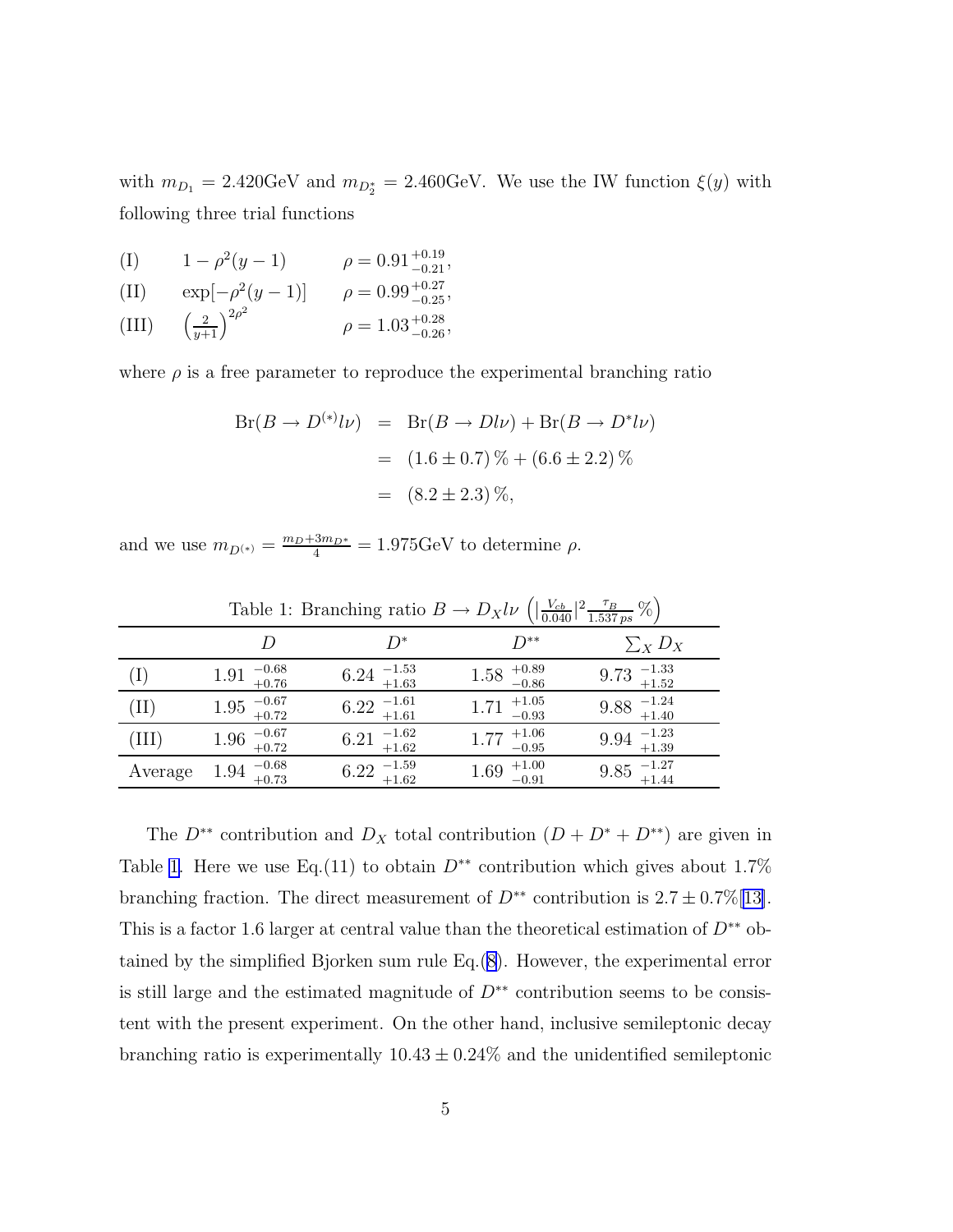<span id="page-5-0"></span>with  $m_{D_1} = 2.420 \text{GeV}$  and  $m_{D_2^*} = 2.460 \text{GeV}$ . We use the IW function  $\xi(y)$  with following three trial functions

- (I)  $1 \rho^2(y-1)$   $\rho = 0.91^{+0.19}_{-0.21}$ ,
- (II)  $\exp[-\rho^2(y-1)]$   $\rho = 0.99^{+0.27}_{-0.25}$ ,
- $(III)$  $\frac{2}{y+1}$ <sup>2 $\rho^2$ </sup>  $\rho = 1.03^{+0.28}_{-0.26}$ ,

where  $\rho$  is a free parameter to reproduce the experimental branching ratio

$$
Br(B \to D^{(*)} l\nu) = Br(B \to D l\nu) + Br(B \to D^* l\nu)
$$
  
= (1.6 \pm 0.7) % + (6.6 \pm 2.2) %  
= (8.2 \pm 2.3) %,

and we use  $m_{D^{(*)}} = \frac{m_D + 3m_{D^*}}{4} = 1.975 \text{GeV}$  to determine  $\rho$ .

|                 |                                                       | rable 1. Drameling ratio $D \rightarrow D_A \nu \nu$ | (10.040)<br>1.537 ps $'$  |                             |  |
|-----------------|-------------------------------------------------------|------------------------------------------------------|---------------------------|-----------------------------|--|
|                 | D                                                     | $D^*$                                                | $D^{**}$                  | $\sum_{X} D_X$              |  |
| $(\mathrm{I})$  | $-0.68$<br>$+0.76$<br>1.91                            | $6.24$ $^{+1.53}_{+1.63}$                            | $1.58$ $^{+0.89}_{-0.86}$ | $9.73$ $_{+1.52}^{-1.33}$   |  |
| $(\mathrm{II})$ | $1.95$ $_{+0.72}^{-0.67}$                             | $6.22 \tfrac{-1.61}{+1.61}$                          | $1.71$ $^{+1.05}_{-0.93}$ | $9.88 \tfrac{-1.24}{+1.40}$ |  |
| (III)           | $1.96 \tfrac{-0.67}{+0.72}$                           | $6.21$ $^{-1.62}_{+1.62}$                            | $1.77$ $^{+1.06}_{-0.95}$ | $9.94$ $_{+1.39}^{-1.23}$   |  |
| Average         | $\begin{array}{c} -0.68 \\ +0.73 \end{array}$<br>1.94 | $6.22 \tfrac{-1.59}{+1.62}$                          | $1.69$ $^{+1.00}_{-0.91}$ | $9.85$ $_{+1.44}^{-1.27}$   |  |

Table 1: Branching ratio  $B \to D_X l \nu \left( \left| \frac{V_{cb}}{0.040} \right|^2 \frac{\tau_B}{1.537 \text{ ps}} \% \right)$ 

The  $D^{**}$  contribution and  $D_X$  total contribution  $(D + D^* + D^{**})$  are given in Table 1. Here we use Eq.(11) to obtain  $D^{**}$  contribution which gives about 1.7% branching fraction. The direct measurement of  $D^{**}$  contribution is  $2.7 \pm 0.7\%$  [[13\]](#page-9-0). This is a factor 1.6 larger at central value than the theoretical estimation of  $D^{**}$  obtained by the simplified Bjorken sum rule Eq.([8\)](#page-3-0). However, the experimental error is still large and the estimated magnitude of  $D^{**}$  contribution seems to be consistent with the present experiment. On the other hand, inclusive semileptonic decay branching ratio is experimentally  $10.43 \pm 0.24\%$  and the unidentified semileptonic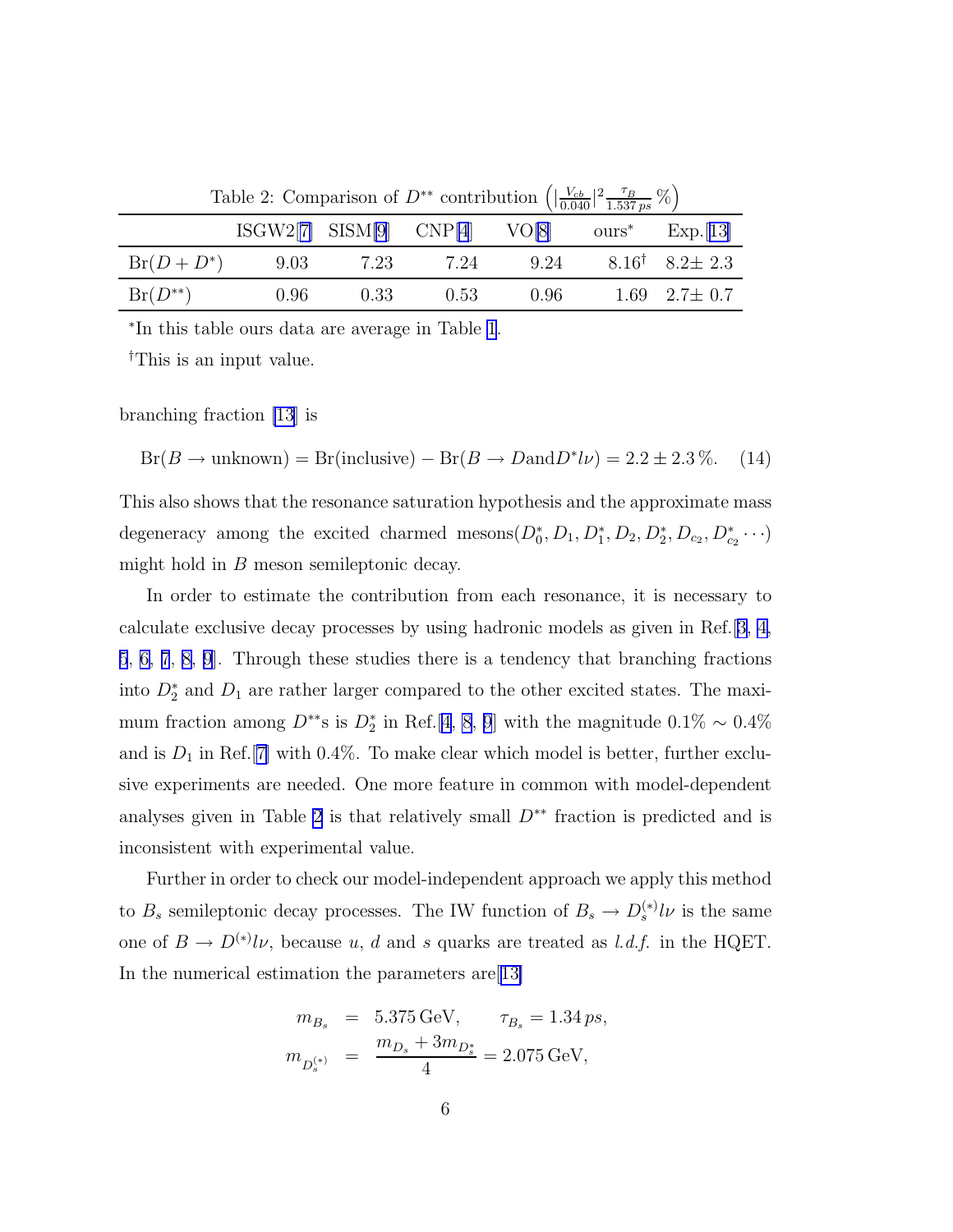|              | <b>EXECUTE:</b> COMPARISON OF D CONSISTING (10.040   1.537 ps $\sqrt{7}$ ) |      |      |      |  |                                |  |
|--------------|----------------------------------------------------------------------------|------|------|------|--|--------------------------------|--|
|              | $ISGW2[7]$ $SISM[9]$ $CNP[4]$ $VO[8]$ $ours^*$ $Exp.[13]$                  |      |      |      |  |                                |  |
| $Br(D+D^*)$  | 9.03                                                                       | 7.23 | 7.24 | 9.24 |  | $8.16^{\dagger}$ $8.2 \pm 2.3$ |  |
| $Br(D^{**})$ | 0.96                                                                       | 0.33 | 0.53 | 0.96 |  | 1.69 $2.7 \pm 0.7$             |  |

Table 2: Comparison of  $D^{**}$  contribution  $\left( \left| \frac{V_{cb}}{0.040} \right|^2 \frac{\tau_B}{1.537 \text{ ps}} \% \right)$ 

∗ In this table ours data are average in Table [1](#page-5-0).

†This is an input value.

branching fraction [\[13](#page-9-0)] is

 $Br(B \to unknown) = Br(inclusive) - Br(B \to D and D^*l\nu) = 2.2 \pm 2.3\%$ . (14)

This also shows that the resonance saturation hypothesis and the approximate mass degeneracy among the excited charmed mesons  $(D_0^*, D_1, D_1^*, D_2, D_2^*, D_{c_2}, D_{c_2}^* \cdots)$ might hold in B meson semileptonic decay.

In order to estimate the contribution from each resonance, it is necessary to calculate exclusive decay processes by using hadronic models as given in Ref.[\[3, 4,](#page-8-0) [5](#page-8-0), [6, 7](#page-8-0), [8, 9](#page-8-0)]. Through these studies there is a tendency that branching fractions into  $D_2^*$  and  $D_1$  are rather larger compared to the other excited states. The maximum fraction among  $D^{**}$ s is  $D_2^*$  in Ref.[\[4, 8](#page-8-0), [9](#page-8-0)] with the magnitude 0.1% ~ 0.4% and is  $D_1$  in Ref. [[7\]](#page-8-0) with 0.4%. To make clear which model is better, further exclusive experiments are needed. One more feature in common with model-dependent analyses given in Table 2 is that relatively small  $D^{**}$  fraction is predicted and is inconsistent with experimental value.

Further in order to check our model-independent approach we apply this method to  $B_s$  semileptonic decay processes. The IW function of  $B_s \to D_s^{(*)} l \nu$  is the same one of  $B \to D^{(*)} l \nu$ , because u, d and s quarks are treated as l.d.f. in the HQET. In the numerical estimation the parameters are[[13\]](#page-9-0)

$$
m_{B_s} = 5.375 \,\text{GeV}, \qquad \tau_{B_s} = 1.34 \, ps,
$$
  

$$
m_{D_s^{(*)}} = \frac{m_{D_s} + 3m_{D_s^*}}{4} = 2.075 \,\text{GeV},
$$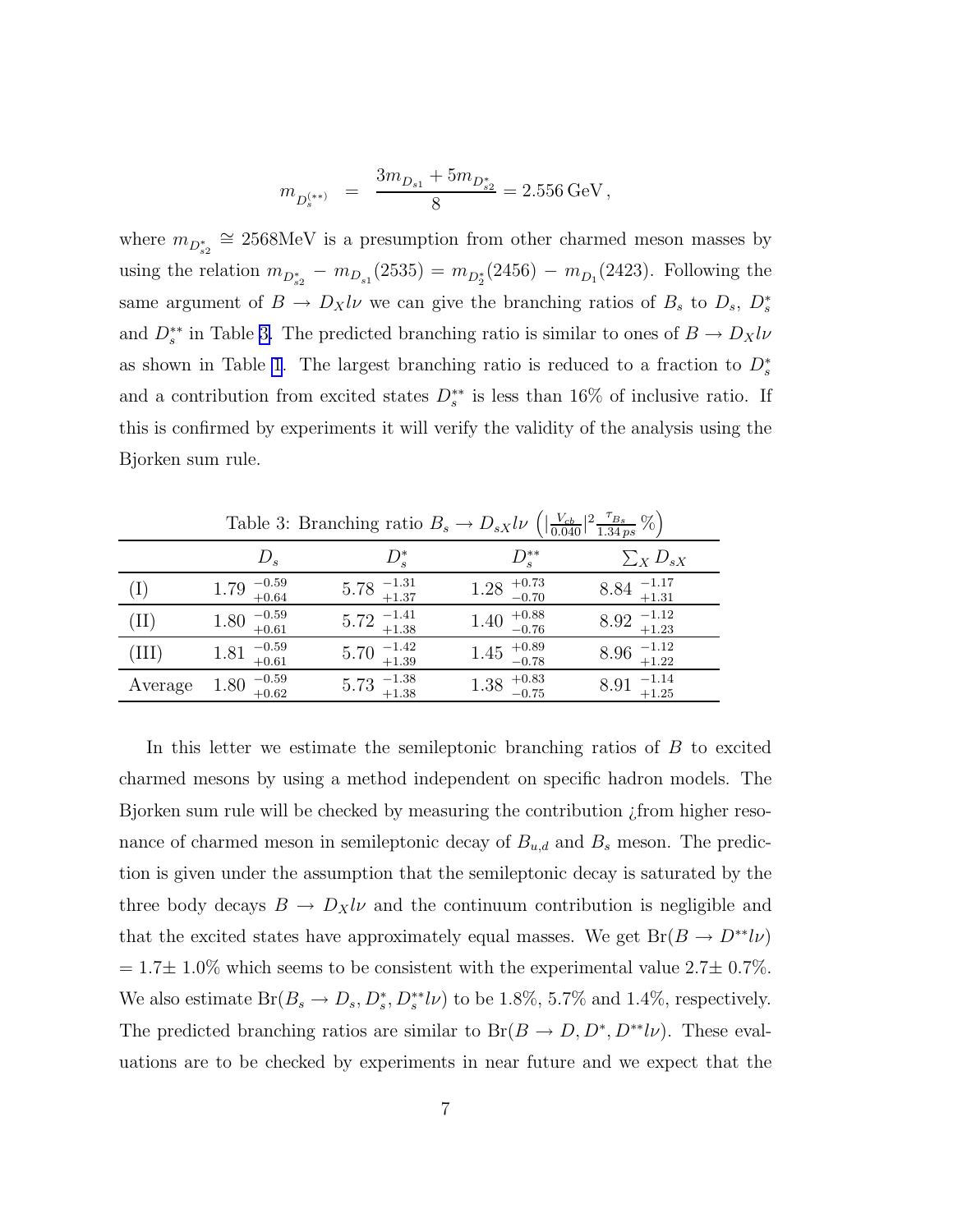$$
m_{D_s^{(**)}} = \frac{3m_{D_{s1}} + 5m_{D_{s2}^*}}{8} = 2.556 \,\text{GeV},
$$

where  $m_{D_{s2}^*} \cong 2568 \text{MeV}$  is a presumption from other charmed meson masses by using the relation  $m_{D_{s2}^*} - m_{D_{s1}}(2535) = m_{D_2^*}(2456) - m_{D_1}(2423)$ . Following the same argument of  $B \to D_X l \nu$  we can give the branching ratios of  $B_s$  to  $D_s$ ,  $D_s^*$ and  $D_s^{**}$  in Table 3. The predicted branching ratio is similar to ones of  $B \to D_X l \nu$ as shown in Table [1](#page-5-0). The largest branching ratio is reduced to a fraction to  $D_s^*$ and a contribution from excited states  $D_s^{**}$  is less than 16% of inclusive ratio. If this is confirmed by experiments it will verify the validity of the analysis using the Bjorken sum rule.

 $D_s$   $D_s^*$ \*  $D_s^{**}$  $\sum_X D_{sX}$ (I)  $1.79 \frac{-0.59}{+0.64}$  $^{+0.59}_{+0.64}$  5.78  $^{+1.31}_{+1.37}$  1.28  $^{+0.73}_{-0.70}$  $+0.73$   $8.84$   $+1.17$ <br> $+1.31$ +1.31 (II)  $1.80 \frac{-0.59}{+0.61}$  $5.72$   $\frac{-1.41}{+1.38}$  $1.40^{+0.88}_{-0.76}$  $^{+0.88}_{-0.76}$   $8.92 \frac{-1.12}{+1.23}$ (III)  $1.81 \, \frac{-0.59}{+0.61}$  $5.70$   $^{+1.42}_{+1.39}$  $1.45 \begin{array}{c} +0.89 \\ -0.78 \end{array}$  $^{+0.89}_{-0.78}$  8.96  $^{-1.12}_{+1.22}$ Average  $1.80\text{ }_{+0.62}^{-0.59}$  $^{+0.59}_{+0.62}$  5.73  $^{+1.38}_{+1.38}$  1.38  $^{+0.83}_{-0.75}$  $^{+0.83}_{-0.75}$  8.91  $^{-1.14}_{+1.25}$ 

Table 3: Branching ratio  $B_s \to D_{sX} l\nu \left( \left| \frac{V_{cb}}{0.040} \right|^2 \frac{\tau_{B_s}}{1.34 \text{ ps}} \% \right)$ 

In this letter we estimate the semileptonic branching ratios of B to excited charmed mesons by using a method independent on specific hadron models. The Bjorken sum rule will be checked by measuring the contribution ¿from higher resonance of charmed meson in semileptonic decay of  $B_{u,d}$  and  $B_s$  meson. The prediction is given under the assumption that the semileptonic decay is saturated by the three body decays  $B \to D_X l \nu$  and the continuum contribution is negligible and that the excited states have approximately equal masses. We get  $Br(B \to D^{**}l\nu)$  $= 1.7 \pm 1.0\%$  which seems to be consistent with the experimental value  $2.7 \pm 0.7\%$ . We also estimate  $Br(B_s \to D_s, D_s^*, D_s^{**}l\nu)$  to be 1.8%, 5.7% and 1.4%, respectively. The predicted branching ratios are similar to  $Br(B \to D, D^*, D^{**}l\nu)$ . These evaluations are to be checked by experiments in near future and we expect that the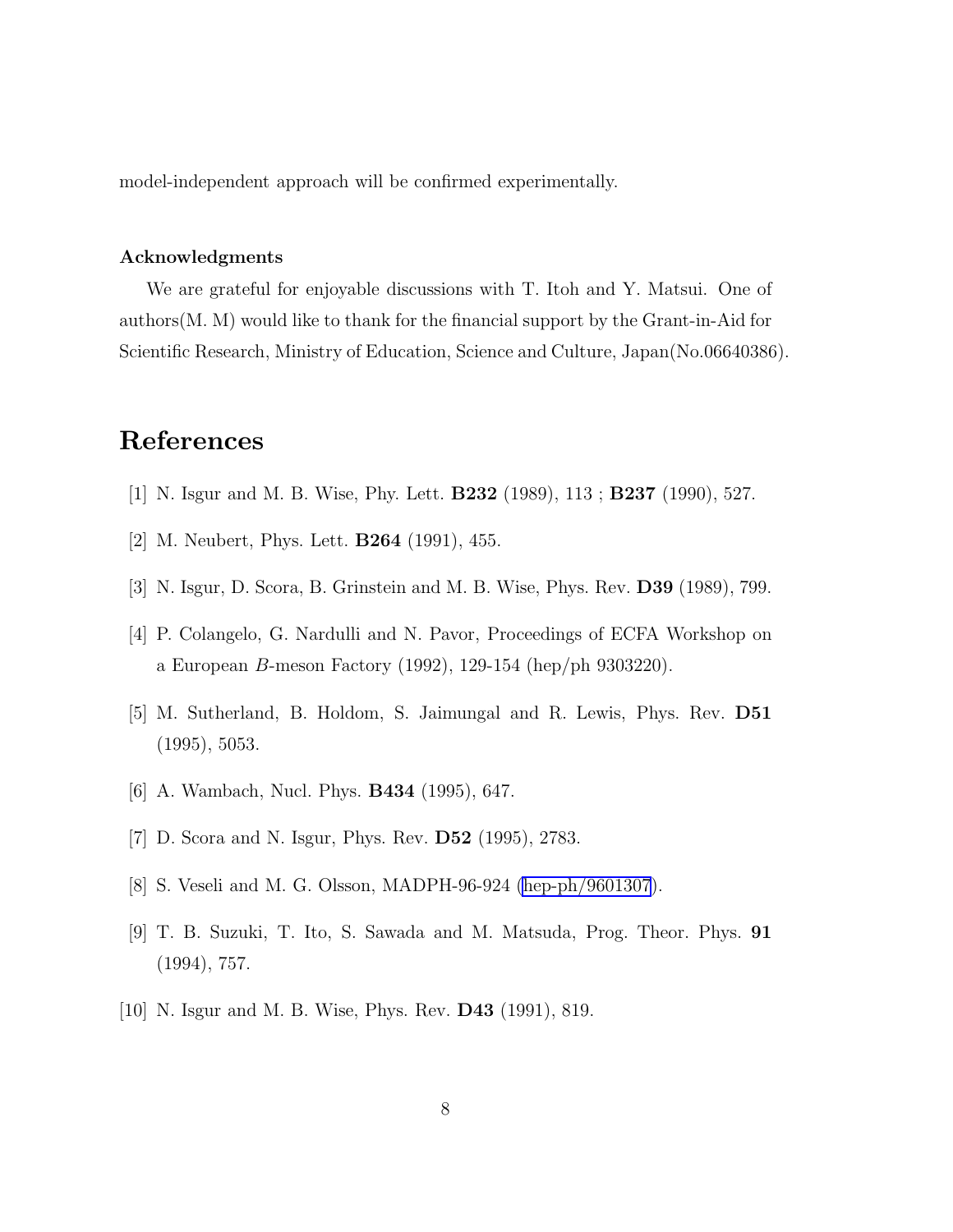<span id="page-8-0"></span>model-independent approach will be confirmed experimentally.

## Acknowledgments

We are grateful for enjoyable discussions with T. Itoh and Y. Matsui. One of authors(M. M) would like to thank for the financial support by the Grant-in-Aid for Scientific Research, Ministry of Education, Science and Culture, Japan(No.06640386).

## References

- [1] N. Isgur and M. B. Wise, Phy. Lett. B232 (1989), 113 ; B237 (1990), 527.
- [2] M. Neubert, Phys. Lett. B264 (1991), 455.
- [3] N. Isgur, D. Scora, B. Grinstein and M. B. Wise, Phys. Rev. D39 (1989), 799.
- [4] P. Colangelo, G. Nardulli and N. Pavor, Proceedings of ECFA Workshop on a European B-meson Factory (1992), 129-154 (hep/ph 9303220).
- [5] M. Sutherland, B. Holdom, S. Jaimungal and R. Lewis, Phys. Rev. D51 (1995), 5053.
- [6] A. Wambach, Nucl. Phys. B434 (1995), 647.
- [7] D. Scora and N. Isgur, Phys. Rev. D52 (1995), 2783.
- [8] S. Veseli and M. G. Olsson, MADPH-96-924 [\(hep-ph/9601307](http://arXiv.org/abs/hep-ph/9601307)).
- [9] T. B. Suzuki, T. Ito, S. Sawada and M. Matsuda, Prog. Theor. Phys. 91 (1994), 757.
- [10] N. Isgur and M. B. Wise, Phys. Rev. D43 (1991), 819.